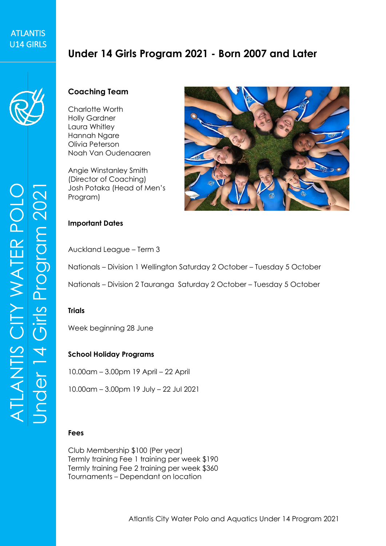# **ATLANTIS** ATLANTIS<br>U14 GIRLS

# **Under 14 Girls Program 2021 - Born 2007 and Later**



# **Coaching Team**

Charlotte Worth Holly Gardner Laura Whitley Hannah Ngare Olivia Peterson Noah Van Oudenaaren

Angie Winstanley Smith (Director of Coaching) Josh Potaka (Head of Men's Program)



#### **Important Dates**

Auckland League – Term 3

Nationals – Division 1 Wellington Saturday 2 October – Tuesday 5 October

Nationals – Division 2 Tauranga Saturday 2 October – Tuesday 5 October

#### **Trials**

Week beginning 28 June

#### **School Holiday Programs**

10.00am – 3.00pm 19 April – 22 April

10.00am – 3.00pm 19 July – 22 Jul 2021

#### **Fees**

Club Membership \$100 (Per year) Termly training Fee 1 training per week \$190 Termly training Fee 2 training per week \$360 Tournaments – Dependant on location